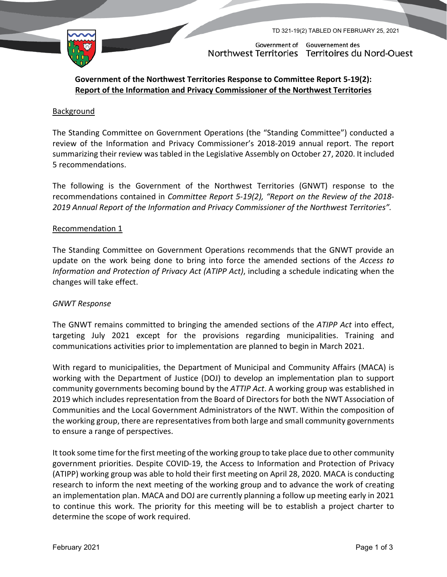TD 321-19(2) TABLED ON FEBRUARY 25, 2021



Government of Gouvernement des Northwest Territories Territoires du Nord-Ouest

# **Government of the Northwest Territories Response to Committee Report 5-19(2): Report of the Information and Privacy Commissioner of the Northwest Territories**

## **Background**

The Standing Committee on Government Operations (the "Standing Committee") conducted a review of the Information and Privacy Commissioner's 2018-2019 annual report. The report summarizing their review was tabled in the Legislative Assembly on October 27, 2020. It included 5 recommendations.

The following is the Government of the Northwest Territories (GNWT) response to the recommendations contained in *Committee Report 5-19(2), "Report on the Review of the 2018- 2019 Annual Report of the Information and Privacy Commissioner of the Northwest Territories".*

## Recommendation 1

The Standing Committee on Government Operations recommends that the GNWT provide an update on the work being done to bring into force the amended sections of the *Access to Information and Protection of Privacy Act (ATIPP Act)*, including a schedule indicating when the changes will take effect.

### *GNWT Response*

The GNWT remains committed to bringing the amended sections of the *ATIPP Act* into effect, targeting July 2021 except for the provisions regarding municipalities. Training and communications activities prior to implementation are planned to begin in March 2021.

With regard to municipalities, the Department of Municipal and Community Affairs (MACA) is working with the Department of Justice (DOJ) to develop an implementation plan to support community governments becoming bound by the *ATTIP Act*. A working group was established in 2019 which includes representation from the Board of Directors for both the NWT Association of Communities and the Local Government Administrators of the NWT. Within the composition of the working group, there are representatives from both large and small community governments to ensure a range of perspectives.

It took some time for the first meeting of the working group to take place due to other community government priorities. Despite COVID-19, the Access to Information and Protection of Privacy (ATIPP) working group was able to hold their first meeting on April 28, 2020. MACA is conducting research to inform the next meeting of the working group and to advance the work of creating an implementation plan. MACA and DOJ are currently planning a follow up meeting early in 2021 to continue this work. The priority for this meeting will be to establish a project charter to determine the scope of work required.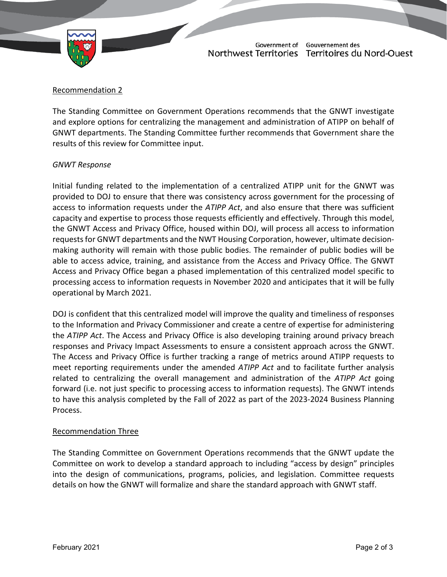

Government of Gouvernement des Northwest Territories Territoires du Nord-Ouest

## Recommendation 2

The Standing Committee on Government Operations recommends that the GNWT investigate and explore options for centralizing the management and administration of ATIPP on behalf of GNWT departments. The Standing Committee further recommends that Government share the results of this review for Committee input.

### *GNWT Response*

Initial funding related to the implementation of a centralized ATIPP unit for the GNWT was provided to DOJ to ensure that there was consistency across government for the processing of access to information requests under the *ATIPP Act*, and also ensure that there was sufficient capacity and expertise to process those requests efficiently and effectively. Through this model, the GNWT Access and Privacy Office, housed within DOJ, will process all access to information requests for GNWT departments and the NWT Housing Corporation, however, ultimate decisionmaking authority will remain with those public bodies. The remainder of public bodies will be able to access advice, training, and assistance from the Access and Privacy Office. The GNWT Access and Privacy Office began a phased implementation of this centralized model specific to processing access to information requests in November 2020 and anticipates that it will be fully operational by March 2021.

DOJ is confident that this centralized model will improve the quality and timeliness of responses to the Information and Privacy Commissioner and create a centre of expertise for administering the *ATIPP Act*. The Access and Privacy Office is also developing training around privacy breach responses and Privacy Impact Assessments to ensure a consistent approach across the GNWT. The Access and Privacy Office is further tracking a range of metrics around ATIPP requests to meet reporting requirements under the amended *ATIPP Act* and to facilitate further analysis related to centralizing the overall management and administration of the *ATIPP Act* going forward (i.e. not just specific to processing access to information requests). The GNWT intends to have this analysis completed by the Fall of 2022 as part of the 2023-2024 Business Planning Process.

### Recommendation Three

The Standing Committee on Government Operations recommends that the GNWT update the Committee on work to develop a standard approach to including "access by design" principles into the design of communications, programs, policies, and legislation. Committee requests details on how the GNWT will formalize and share the standard approach with GNWT staff.